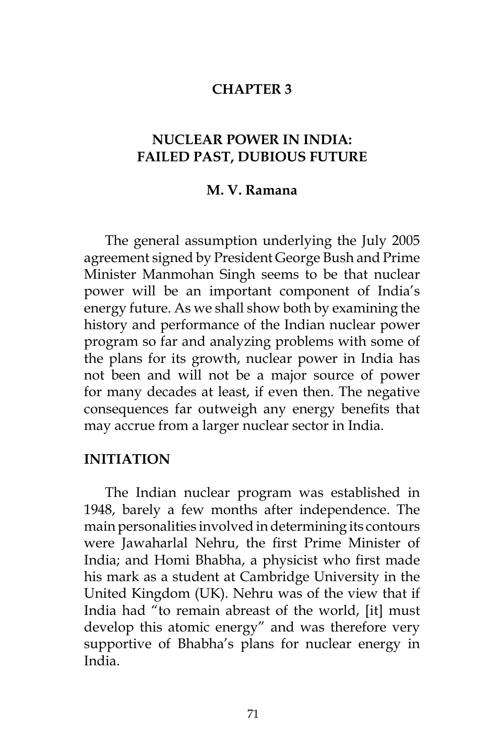#### **CHAPTER 3**

### **NUCLEAR POWER IN INDIA: FAILED PAST, DUBIOUS FUTURE**

#### **M. V. Ramana**

The general assumption underlying the July 2005 agreement signed by President George Bush and Prime Minister Manmohan Singh seems to be that nuclear power will be an important component of India's energy future. As we shall show both by examining the history and performance of the Indian nuclear power program so far and analyzing problems with some of the plans for its growth, nuclear power in India has not been and will not be a major source of power for many decades at least, if even then. The negative consequences far outweigh any energy benefits that may accrue from a larger nuclear sector in India.

## **INITIATION**

The Indian nuclear program was established in 1948, barely a few months after independence. The main personalities involved in determining its contours were Jawaharlal Nehru, the first Prime Minister of India; and Homi Bhabha, a physicist who first made his mark as a student at Cambridge University in the United Kingdom (UK). Nehru was of the view that if India had "to remain abreast of the world, [it] must develop this atomic energy" and was therefore very supportive of Bhabha's plans for nuclear energy in India.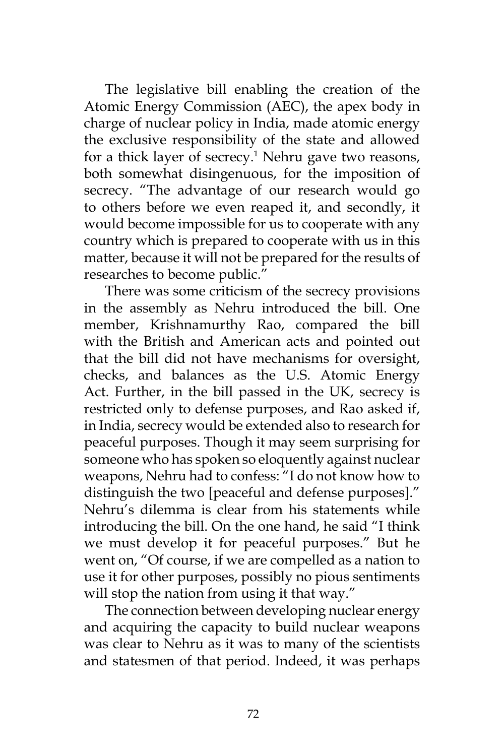The legislative bill enabling the creation of the Atomic Energy Commission (AEC), the apex body in charge of nuclear policy in India, made atomic energy the exclusive responsibility of the state and allowed for a thick layer of secrecy.<sup>1</sup> Nehru gave two reasons, both somewhat disingenuous, for the imposition of secrecy. "The advantage of our research would go to others before we even reaped it, and secondly, it would become impossible for us to cooperate with any country which is prepared to cooperate with us in this matter, because it will not be prepared for the results of researches to become public."

There was some criticism of the secrecy provisions in the assembly as Nehru introduced the bill. One member, Krishnamurthy Rao, compared the bill with the British and American acts and pointed out that the bill did not have mechanisms for oversight, checks, and balances as the U.S. Atomic Energy Act. Further, in the bill passed in the UK, secrecy is restricted only to defense purposes, and Rao asked if, in India, secrecy would be extended also to research for peaceful purposes. Though it may seem surprising for someone who has spoken so eloquently against nuclear weapons, Nehru had to confess: "I do not know how to distinguish the two [peaceful and defense purposes]." Nehru's dilemma is clear from his statements while introducing the bill. On the one hand, he said "I think we must develop it for peaceful purposes." But he went on, "Of course, if we are compelled as a nation to use it for other purposes, possibly no pious sentiments will stop the nation from using it that way."

The connection between developing nuclear energy and acquiring the capacity to build nuclear weapons was clear to Nehru as it was to many of the scientists and statesmen of that period. Indeed, it was perhaps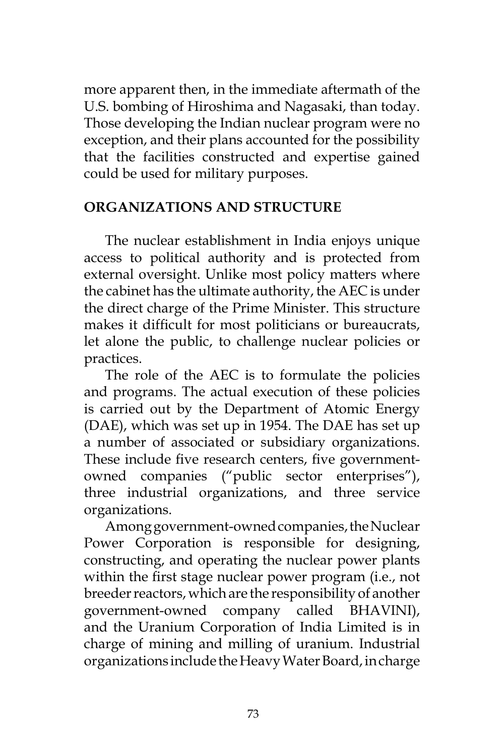more apparent then, in the immediate aftermath of the U.S. bombing of Hiroshima and Nagasaki, than today. Those developing the Indian nuclear program were no exception, and their plans accounted for the possibility that the facilities constructed and expertise gained could be used for military purposes.

## **ORGANIZATIONS AND STRUCTURE**

The nuclear establishment in India enjoys unique access to political authority and is protected from external oversight. Unlike most policy matters where the cabinet has the ultimate authority, the AEC is under the direct charge of the Prime Minister. This structure makes it difficult for most politicians or bureaucrats, let alone the public, to challenge nuclear policies or practices.

The role of the AEC is to formulate the policies and programs. The actual execution of these policies is carried out by the Department of Atomic Energy (DAE), which was set up in 1954. The DAE has set up a number of associated or subsidiary organizations. These include five research centers, five governmentowned companies ("public sector enterprises"), three industrial organizations, and three service organizations.

Among government-owned companies, the Nuclear Power Corporation is responsible for designing, constructing, and operating the nuclear power plants within the first stage nuclear power program (i.e., not breeder reactors, which are the responsibility of another government-owned company called BHAVINI), and the Uranium Corporation of India Limited is in charge of mining and milling of uranium. Industrial organizations include the Heavy Water Board, in charge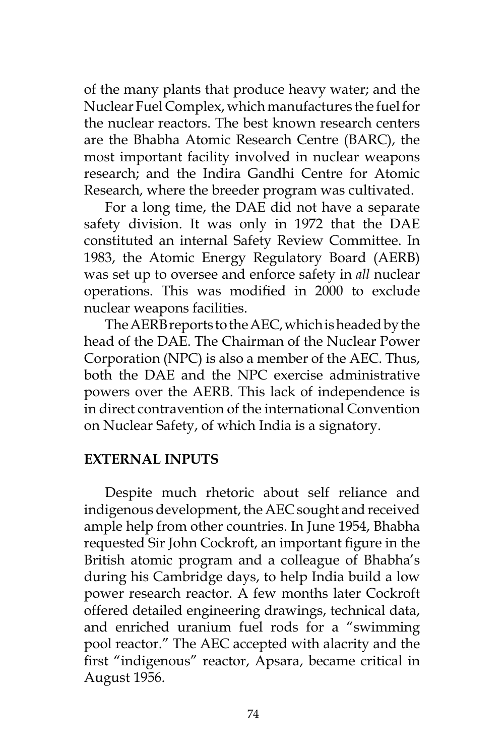of the many plants that produce heavy water; and the Nuclear Fuel Complex, which manufactures the fuel for the nuclear reactors. The best known research centers are the Bhabha Atomic Research Centre (BARC), the most important facility involved in nuclear weapons research; and the Indira Gandhi Centre for Atomic Research, where the breeder program was cultivated.

For a long time, the DAE did not have a separate safety division. It was only in 1972 that the DAE constituted an internal Safety Review Committee. In 1983, the Atomic Energy Regulatory Board (AERB) was set up to oversee and enforce safety in *all* nuclear operations. This was modified in 2000 to exclude nuclear weapons facilities.

The AERB reports to the AEC, which is headed by the head of the DAE. The Chairman of the Nuclear Power Corporation (NPC) is also a member of the AEC. Thus, both the DAE and the NPC exercise administrative powers over the AERB. This lack of independence is in direct contravention of the international Convention on Nuclear Safety, of which India is a signatory.

#### **EXTERNAL INPUTS**

Despite much rhetoric about self reliance and indigenous development, the AEC sought and received ample help from other countries. In June 1954, Bhabha requested Sir John Cockroft, an important figure in the British atomic program and a colleague of Bhabha's during his Cambridge days, to help India build a low power research reactor. A few months later Cockroft offered detailed engineering drawings, technical data, and enriched uranium fuel rods for a "swimming pool reactor." The AEC accepted with alacrity and the first "indigenous" reactor, Apsara, became critical in August 1956.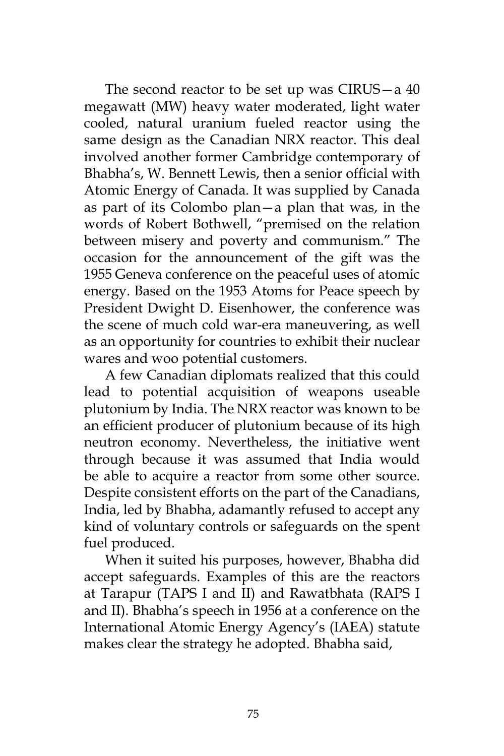The second reactor to be set up was CIRUS—a 40 megawatt (MW) heavy water moderated, light water cooled, natural uranium fueled reactor using the same design as the Canadian NRX reactor. This deal involved another former Cambridge contemporary of Bhabha's, W. Bennett Lewis, then a senior official with Atomic Energy of Canada. It was supplied by Canada as part of its Colombo plan—a plan that was, in the words of Robert Bothwell, "premised on the relation between misery and poverty and communism." The occasion for the announcement of the gift was the 1955 Geneva conference on the peaceful uses of atomic energy. Based on the 1953 Atoms for Peace speech by President Dwight D. Eisenhower, the conference was the scene of much cold war-era maneuvering, as well as an opportunity for countries to exhibit their nuclear wares and woo potential customers.

A few Canadian diplomats realized that this could lead to potential acquisition of weapons useable plutonium by India. The NRX reactor was known to be an efficient producer of plutonium because of its high neutron economy. Nevertheless, the initiative went through because it was assumed that India would be able to acquire a reactor from some other source. Despite consistent efforts on the part of the Canadians, India, led by Bhabha, adamantly refused to accept any kind of voluntary controls or safeguards on the spent fuel produced.

When it suited his purposes, however, Bhabha did accept safeguards. Examples of this are the reactors at Tarapur (TAPS I and II) and Rawatbhata (RAPS I and II). Bhabha's speech in 1956 at a conference on the International Atomic Energy Agency's (IAEA) statute makes clear the strategy he adopted. Bhabha said,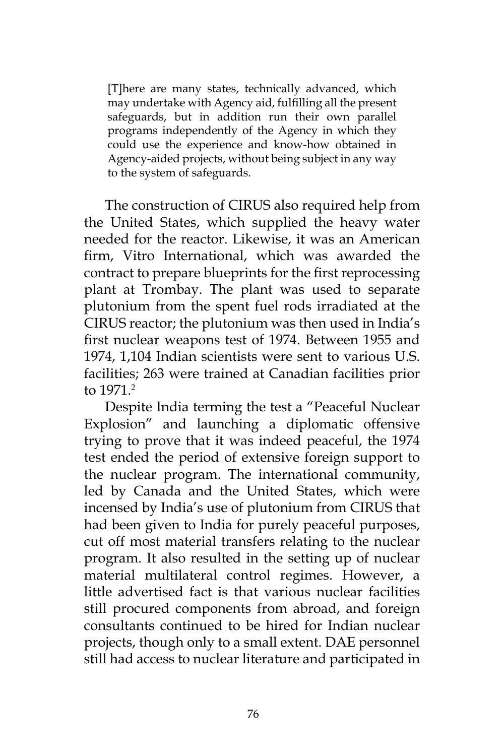[T]here are many states, technically advanced, which may undertake with Agency aid, fulfilling all the present safeguards, but in addition run their own parallel programs independently of the Agency in which they could use the experience and know-how obtained in Agency-aided projects, without being subject in any way to the system of safeguards.

The construction of CIRUS also required help from the United States, which supplied the heavy water needed for the reactor. Likewise, it was an American firm, Vitro International, which was awarded the contract to prepare blueprints for the first reprocessing plant at Trombay. The plant was used to separate plutonium from the spent fuel rods irradiated at the CIRUS reactor; the plutonium was then used in India's first nuclear weapons test of 1974. Between 1955 and 1974, 1,104 Indian scientists were sent to various U.S. facilities; 263 were trained at Canadian facilities prior to 1971<sup>2</sup>

Despite India terming the test a "Peaceful Nuclear Explosion" and launching a diplomatic offensive trying to prove that it was indeed peaceful, the 1974 test ended the period of extensive foreign support to the nuclear program. The international community, led by Canada and the United States, which were incensed by India's use of plutonium from CIRUS that had been given to India for purely peaceful purposes, cut off most material transfers relating to the nuclear program. It also resulted in the setting up of nuclear material multilateral control regimes. However, a little advertised fact is that various nuclear facilities still procured components from abroad, and foreign consultants continued to be hired for Indian nuclear projects, though only to a small extent. DAE personnel still had access to nuclear literature and participated in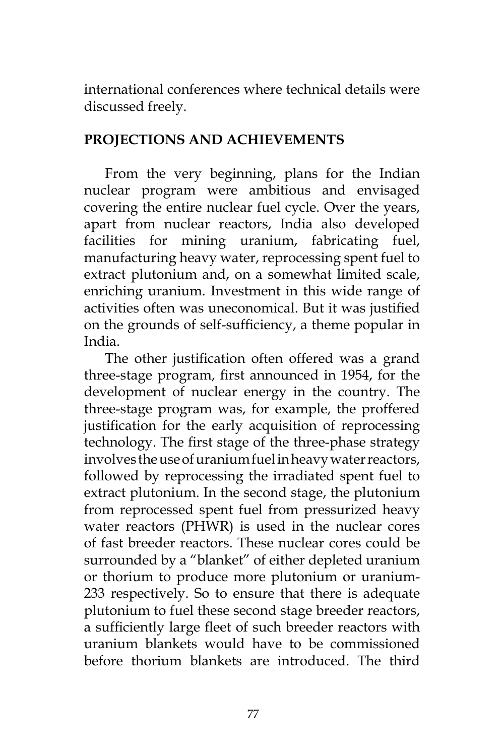international conferences where technical details were discussed freely.

## **PROJECTIONS AND ACHIEVEMENTS**

From the very beginning, plans for the Indian nuclear program were ambitious and envisaged covering the entire nuclear fuel cycle. Over the years, apart from nuclear reactors, India also developed facilities for mining uranium, fabricating fuel, manufacturing heavy water, reprocessing spent fuel to extract plutonium and, on a somewhat limited scale, enriching uranium. Investment in this wide range of activities often was uneconomical. But it was justified on the grounds of self-sufficiency, a theme popular in India.

The other justification often offered was a grand three-stage program, first announced in 1954, for the development of nuclear energy in the country. The three-stage program was, for example, the proffered justification for the early acquisition of reprocessing technology. The first stage of the three-phase strategy involves the use of uranium fuel in heavy water reactors, followed by reprocessing the irradiated spent fuel to extract plutonium. In the second stage, the plutonium from reprocessed spent fuel from pressurized heavy water reactors (PHWR) is used in the nuclear cores of fast breeder reactors. These nuclear cores could be surrounded by a "blanket" of either depleted uranium or thorium to produce more plutonium or uranium-233 respectively. So to ensure that there is adequate plutonium to fuel these second stage breeder reactors, a sufficiently large fleet of such breeder reactors with uranium blankets would have to be commissioned before thorium blankets are introduced. The third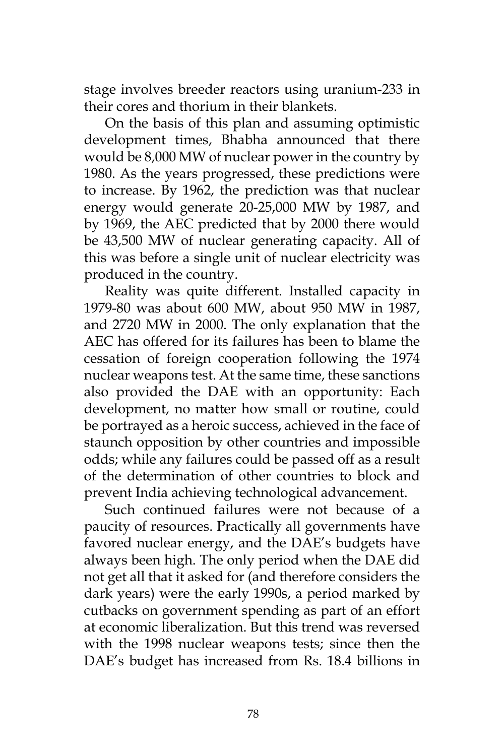stage involves breeder reactors using uranium-233 in their cores and thorium in their blankets.

On the basis of this plan and assuming optimistic development times, Bhabha announced that there would be 8,000 MW of nuclear power in the country by 1980. As the years progressed, these predictions were to increase. By 1962, the prediction was that nuclear energy would generate 20-25,000 MW by 1987, and by 1969, the AEC predicted that by 2000 there would be 43,500 MW of nuclear generating capacity. All of this was before a single unit of nuclear electricity was produced in the country.

Reality was quite different. Installed capacity in 1979-80 was about 600 MW, about 950 MW in 1987, and 2720 MW in 2000. The only explanation that the AEC has offered for its failures has been to blame the cessation of foreign cooperation following the 1974 nuclear weapons test. At the same time, these sanctions also provided the DAE with an opportunity: Each development, no matter how small or routine, could be portrayed as a heroic success, achieved in the face of staunch opposition by other countries and impossible odds; while any failures could be passed off as a result of the determination of other countries to block and prevent India achieving technological advancement.

Such continued failures were not because of a paucity of resources. Practically all governments have favored nuclear energy, and the DAE's budgets have always been high. The only period when the DAE did not get all that it asked for (and therefore considers the dark years) were the early 1990s, a period marked by cutbacks on government spending as part of an effort at economic liberalization. But this trend was reversed with the 1998 nuclear weapons tests; since then the DAE's budget has increased from Rs. 18.4 billions in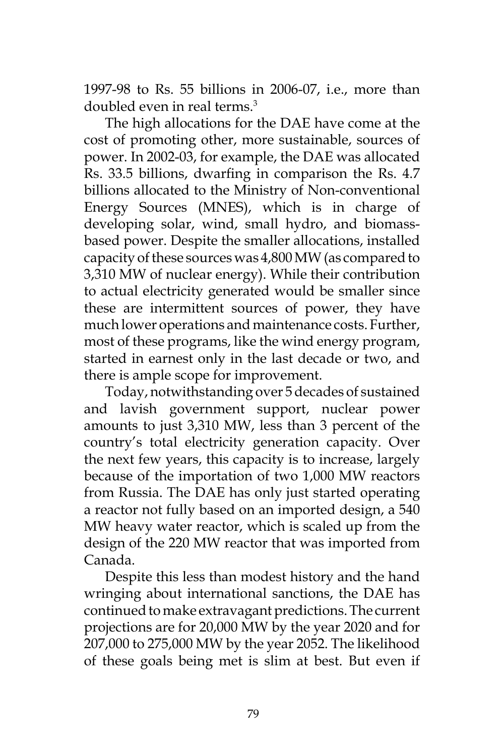1997-98 to Rs. 55 billions in 2006-07, i.e., more than doubled even in real terms.<sup>3</sup>

The high allocations for the DAE have come at the cost of promoting other, more sustainable, sources of power. In 2002-03, for example, the DAE was allocated Rs. 33.5 billions, dwarfing in comparison the Rs. 4.7 billions allocated to the Ministry of Non-conventional Energy Sources (MNES), which is in charge of developing solar, wind, small hydro, and biomassbased power. Despite the smaller allocations, installed capacity of these sources was 4,800 MW (as compared to 3,310 MW of nuclear energy). While their contribution to actual electricity generated would be smaller since these are intermittent sources of power, they have much lower operations and maintenance costs. Further, most of these programs, like the wind energy program, started in earnest only in the last decade or two, and there is ample scope for improvement.

Today, notwithstanding over 5 decades of sustained and lavish government support, nuclear power amounts to just 3,310 MW, less than 3 percent of the country's total electricity generation capacity. Over the next few years, this capacity is to increase, largely because of the importation of two 1,000 MW reactors from Russia. The DAE has only just started operating a reactor not fully based on an imported design, a 540 MW heavy water reactor, which is scaled up from the design of the 220 MW reactor that was imported from Canada.

Despite this less than modest history and the hand wringing about international sanctions, the DAE has continued to make extravagant predictions. The current projections are for 20,000 MW by the year 2020 and for 207,000 to 275,000 MW by the year 2052. The likelihood of these goals being met is slim at best. But even if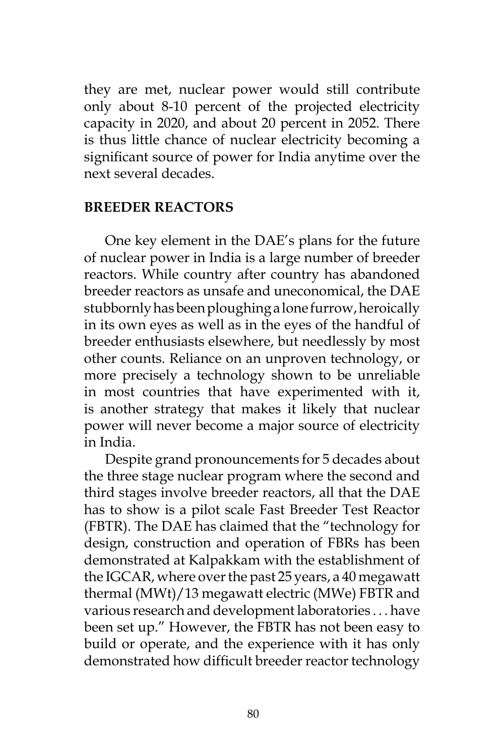they are met, nuclear power would still contribute only about 8-10 percent of the projected electricity capacity in 2020, and about 20 percent in 2052. There is thus little chance of nuclear electricity becoming a significant source of power for India anytime over the next several decades.

### **BREEDER REACTORS**

One key element in the DAE's plans for the future of nuclear power in India is a large number of breeder reactors. While country after country has abandoned breeder reactors as unsafe and uneconomical, the DAE stubbornly has been ploughing a lone furrow, heroically in its own eyes as well as in the eyes of the handful of breeder enthusiasts elsewhere, but needlessly by most other counts. Reliance on an unproven technology, or more precisely a technology shown to be unreliable in most countries that have experimented with it, is another strategy that makes it likely that nuclear power will never become a major source of electricity in India.

Despite grand pronouncements for 5 decades about the three stage nuclear program where the second and third stages involve breeder reactors, all that the DAE has to show is a pilot scale Fast Breeder Test Reactor (FBTR). The DAE has claimed that the "technology for design, construction and operation of FBRs has been demonstrated at Kalpakkam with the establishment of the IGCAR, where over the past 25 years, a 40 megawatt thermal (MWt)/13 megawatt electric (MWe) FBTR and various research and development laboratories . . . have been set up." However, the FBTR has not been easy to build or operate, and the experience with it has only demonstrated how difficult breeder reactor technology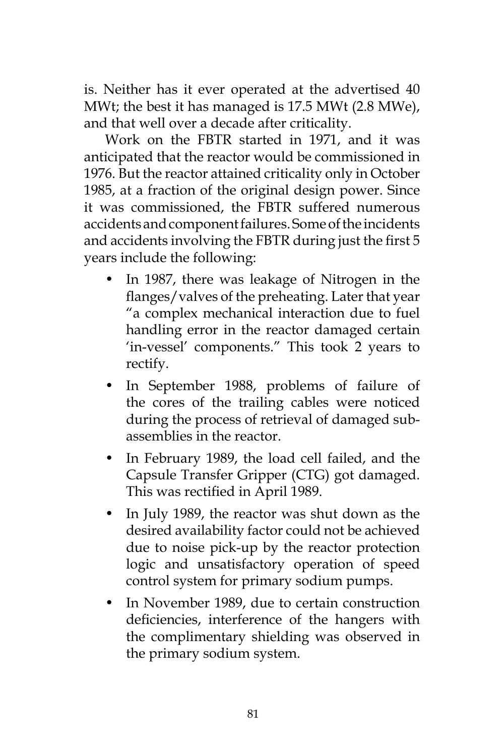is. Neither has it ever operated at the advertised 40 MWt; the best it has managed is 17.5 MWt (2.8 MWe), and that well over a decade after criticality.

Work on the FBTR started in 1971, and it was anticipated that the reactor would be commissioned in 1976. But the reactor attained criticality only in October 1985, at a fraction of the original design power. Since it was commissioned, the FBTR suffered numerous accidents and component failures. Some of the incidents and accidents involving the FBTR during just the first 5 years include the following:

- In 1987, there was leakage of Nitrogen in the flanges/valves of the preheating. Later that year "a complex mechanical interaction due to fuel handling error in the reactor damaged certain 'in-vessel' components." This took 2 years to rectify.
- In September 1988, problems of failure of the cores of the trailing cables were noticed during the process of retrieval of damaged subassemblies in the reactor.
- In February 1989, the load cell failed, and the Capsule Transfer Gripper (CTG) got damaged. This was rectified in April 1989.
- In July 1989, the reactor was shut down as the desired availability factor could not be achieved due to noise pick-up by the reactor protection logic and unsatisfactory operation of speed control system for primary sodium pumps.
- In November 1989, due to certain construction deficiencies, interference of the hangers with the complimentary shielding was observed in the primary sodium system.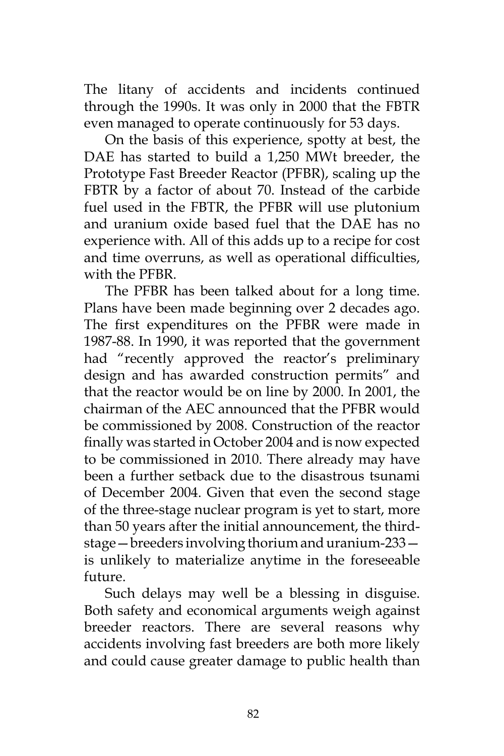The litany of accidents and incidents continued through the 1990s. It was only in 2000 that the FBTR even managed to operate continuously for 53 days.

On the basis of this experience, spotty at best, the DAE has started to build a 1,250 MWt breeder, the Prototype Fast Breeder Reactor (PFBR), scaling up the FBTR by a factor of about 70. Instead of the carbide fuel used in the FBTR, the PFBR will use plutonium and uranium oxide based fuel that the DAE has no experience with. All of this adds up to a recipe for cost and time overruns, as well as operational difficulties, with the PFBR.

The PFBR has been talked about for a long time. Plans have been made beginning over 2 decades ago. The first expenditures on the PFBR were made in 1987-88. In 1990, it was reported that the government had "recently approved the reactor's preliminary design and has awarded construction permits" and that the reactor would be on line by 2000. In 2001, the chairman of the AEC announced that the PFBR would be commissioned by 2008. Construction of the reactor finally was started in October 2004 and is now expected to be commissioned in 2010. There already may have been a further setback due to the disastrous tsunami of December 2004. Given that even the second stage of the three-stage nuclear program is yet to start, more than 50 years after the initial announcement, the thirdstage—breeders involving thorium and uranium-233 is unlikely to materialize anytime in the foreseeable future.

Such delays may well be a blessing in disguise. Both safety and economical arguments weigh against breeder reactors. There are several reasons why accidents involving fast breeders are both more likely and could cause greater damage to public health than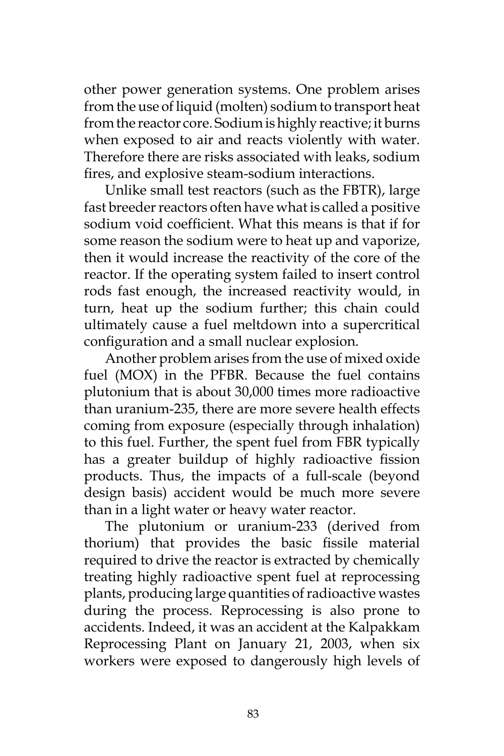other power generation systems. One problem arises from the use of liquid (molten) sodium to transport heat from the reactor core. Sodium is highly reactive; it burns when exposed to air and reacts violently with water. Therefore there are risks associated with leaks, sodium fires, and explosive steam-sodium interactions.

Unlike small test reactors (such as the FBTR), large fast breeder reactors often have what is called a positive sodium void coefficient. What this means is that if for some reason the sodium were to heat up and vaporize, then it would increase the reactivity of the core of the reactor. If the operating system failed to insert control rods fast enough, the increased reactivity would, in turn, heat up the sodium further; this chain could ultimately cause a fuel meltdown into a supercritical configuration and a small nuclear explosion.

Another problem arises from the use of mixed oxide fuel (MOX) in the PFBR. Because the fuel contains plutonium that is about 30,000 times more radioactive than uranium-235, there are more severe health effects coming from exposure (especially through inhalation) to this fuel. Further, the spent fuel from FBR typically has a greater buildup of highly radioactive fission products. Thus, the impacts of a full-scale (beyond design basis) accident would be much more severe than in a light water or heavy water reactor.

The plutonium or uranium-233 (derived from thorium) that provides the basic fissile material required to drive the reactor is extracted by chemically treating highly radioactive spent fuel at reprocessing plants, producing large quantities of radioactive wastes during the process. Reprocessing is also prone to accidents. Indeed, it was an accident at the Kalpakkam Reprocessing Plant on January 21, 2003, when six workers were exposed to dangerously high levels of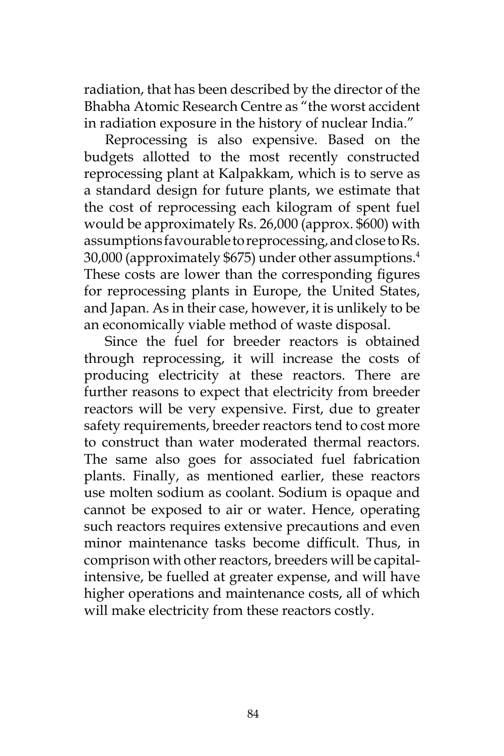radiation, that has been described by the director of the Bhabha Atomic Research Centre as "the worst accident in radiation exposure in the history of nuclear India."

Reprocessing is also expensive. Based on the budgets allotted to the most recently constructed reprocessing plant at Kalpakkam, which is to serve as a standard design for future plants, we estimate that the cost of reprocessing each kilogram of spent fuel would be approximately Rs. 26,000 (approx. \$600) with assumptions favourable to reprocessing, and close to Rs. 30,000 (approximately \$675) under other assumptions.4 These costs are lower than the corresponding figures for reprocessing plants in Europe, the United States, and Japan. As in their case, however, it is unlikely to be an economically viable method of waste disposal.

Since the fuel for breeder reactors is obtained through reprocessing, it will increase the costs of producing electricity at these reactors. There are further reasons to expect that electricity from breeder reactors will be very expensive. First, due to greater safety requirements, breeder reactors tend to cost more to construct than water moderated thermal reactors. The same also goes for associated fuel fabrication plants. Finally, as mentioned earlier, these reactors use molten sodium as coolant. Sodium is opaque and cannot be exposed to air or water. Hence, operating such reactors requires extensive precautions and even minor maintenance tasks become difficult. Thus, in comprison with other reactors, breeders will be capitalintensive, be fuelled at greater expense, and will have higher operations and maintenance costs, all of which will make electricity from these reactors costly.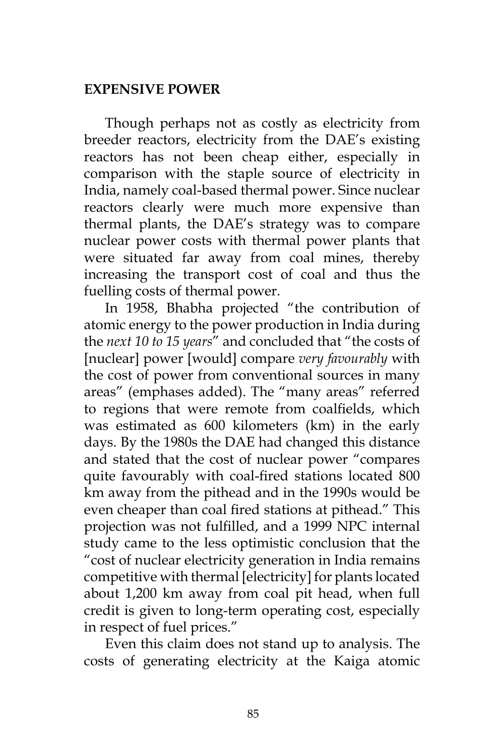## **EXPENSIVE POWER**

Though perhaps not as costly as electricity from breeder reactors, electricity from the DAE's existing reactors has not been cheap either, especially in comparison with the staple source of electricity in India, namely coal-based thermal power. Since nuclear reactors clearly were much more expensive than thermal plants, the DAE's strategy was to compare nuclear power costs with thermal power plants that were situated far away from coal mines, thereby increasing the transport cost of coal and thus the fuelling costs of thermal power.

In 1958, Bhabha projected "the contribution of atomic energy to the power production in India during the *next 10 to 15 years*" and concluded that "the costs of [nuclear] power [would] compare *very favourably* with the cost of power from conventional sources in many areas" (emphases added). The "many areas" referred to regions that were remote from coalfields, which was estimated as 600 kilometers (km) in the early days. By the 1980s the DAE had changed this distance and stated that the cost of nuclear power "compares quite favourably with coal-fired stations located 800 km away from the pithead and in the 1990s would be even cheaper than coal fired stations at pithead." This projection was not fulfilled, and a 1999 NPC internal study came to the less optimistic conclusion that the "cost of nuclear electricity generation in India remains competitive with thermal [electricity] for plants located about 1,200 km away from coal pit head, when full credit is given to long-term operating cost, especially in respect of fuel prices."

Even this claim does not stand up to analysis. The costs of generating electricity at the Kaiga atomic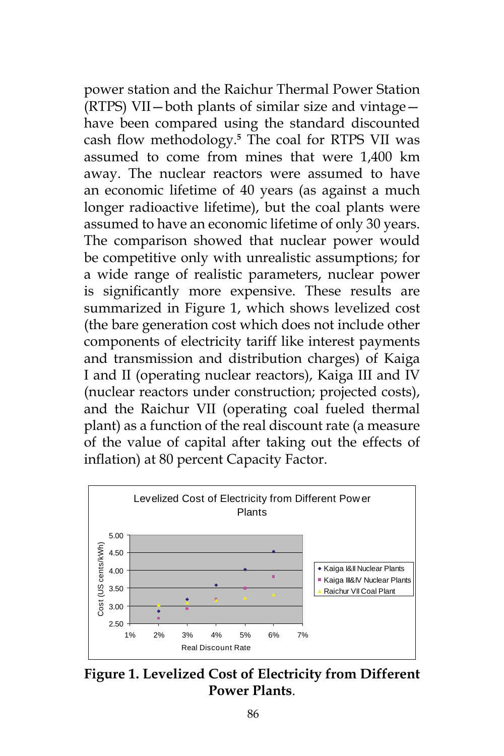power station and the Raichur Thermal Power Station (RTPS) VII—both plants of similar size and vintage have been compared using the standard discounted cash flow methodology.**<sup>5</sup>** The coal for RTPS VII was assumed to come from mines that were 1,400 km away. The nuclear reactors were assumed to have an economic lifetime of 40 years (as against a much longer radioactive lifetime), but the coal plants were assumed to have an economic lifetime of only 30 years. The comparison showed that nuclear power would be competitive only with unrealistic assumptions; for a wide range of realistic parameters, nuclear power is significantly more expensive. These results are summarized in Figure 1, which shows levelized cost (the bare generation cost which does not include other components of electricity tariff like interest payments and transmission and distribution charges) of Kaiga I and II (operating nuclear reactors), Kaiga III and IV (nuclear reactors under construction; projected costs), and the Raichur VII (operating coal fueled thermal plant) as a function of the real discount rate (a measure of the value of capital after taking out the effects of inflation) at 80 percent Capacity Factor.



**Figure 1. Levelized Cost of Electricity from Different Power Plants**.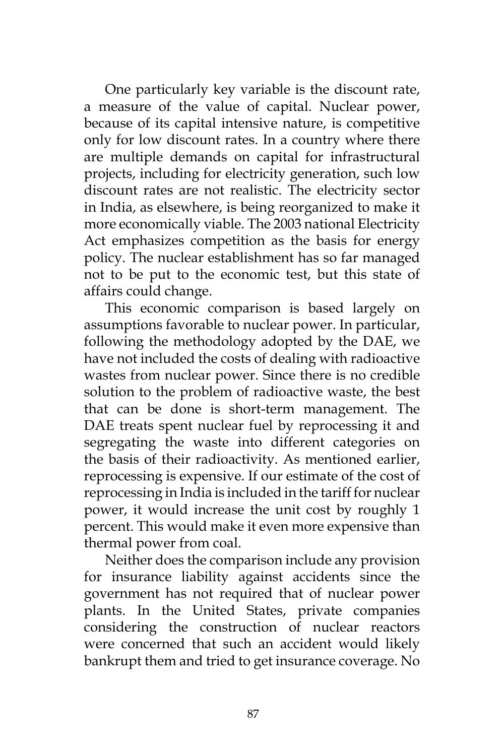One particularly key variable is the discount rate, a measure of the value of capital. Nuclear power, because of its capital intensive nature, is competitive only for low discount rates. In a country where there are multiple demands on capital for infrastructural projects, including for electricity generation, such low discount rates are not realistic. The electricity sector in India, as elsewhere, is being reorganized to make it more economically viable. The 2003 national Electricity Act emphasizes competition as the basis for energy policy. The nuclear establishment has so far managed not to be put to the economic test, but this state of affairs could change.

This economic comparison is based largely on assumptions favorable to nuclear power. In particular, following the methodology adopted by the DAE, we have not included the costs of dealing with radioactive wastes from nuclear power. Since there is no credible solution to the problem of radioactive waste, the best that can be done is short-term management. The DAE treats spent nuclear fuel by reprocessing it and segregating the waste into different categories on the basis of their radioactivity. As mentioned earlier, reprocessing is expensive. If our estimate of the cost of reprocessing in India is included in the tariff for nuclear power, it would increase the unit cost by roughly 1 percent. This would make it even more expensive than thermal power from coal.

Neither does the comparison include any provision for insurance liability against accidents since the government has not required that of nuclear power plants. In the United States, private companies considering the construction of nuclear reactors were concerned that such an accident would likely bankrupt them and tried to get insurance coverage. No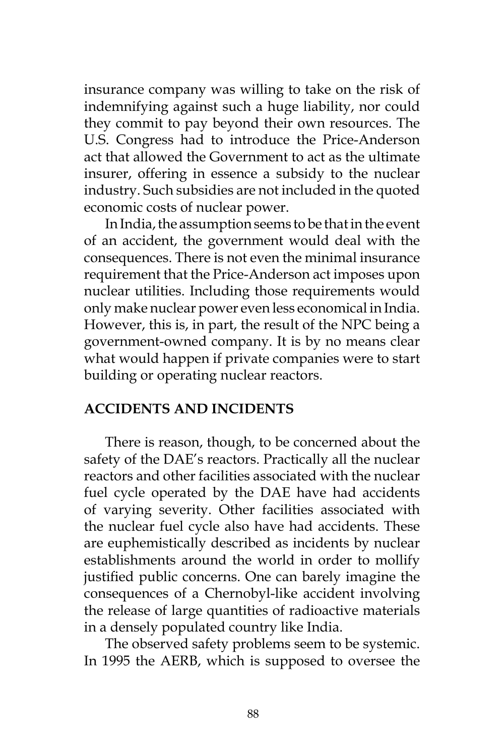insurance company was willing to take on the risk of indemnifying against such a huge liability, nor could they commit to pay beyond their own resources. The U.S. Congress had to introduce the Price-Anderson act that allowed the Government to act as the ultimate insurer, offering in essence a subsidy to the nuclear industry. Such subsidies are not included in the quoted economic costs of nuclear power.

In India, the assumption seems to be that in the event of an accident, the government would deal with the consequences. There is not even the minimal insurance requirement that the Price-Anderson act imposes upon nuclear utilities. Including those requirements would only make nuclear power even less economical in India. However, this is, in part, the result of the NPC being a government-owned company. It is by no means clear what would happen if private companies were to start building or operating nuclear reactors.

## **ACCIDENTS AND INCIDENTS**

There is reason, though, to be concerned about the safety of the DAE's reactors. Practically all the nuclear reactors and other facilities associated with the nuclear fuel cycle operated by the DAE have had accidents of varying severity. Other facilities associated with the nuclear fuel cycle also have had accidents. These are euphemistically described as incidents by nuclear establishments around the world in order to mollify justified public concerns. One can barely imagine the consequences of a Chernobyl-like accident involving the release of large quantities of radioactive materials in a densely populated country like India.

The observed safety problems seem to be systemic. In 1995 the AERB, which is supposed to oversee the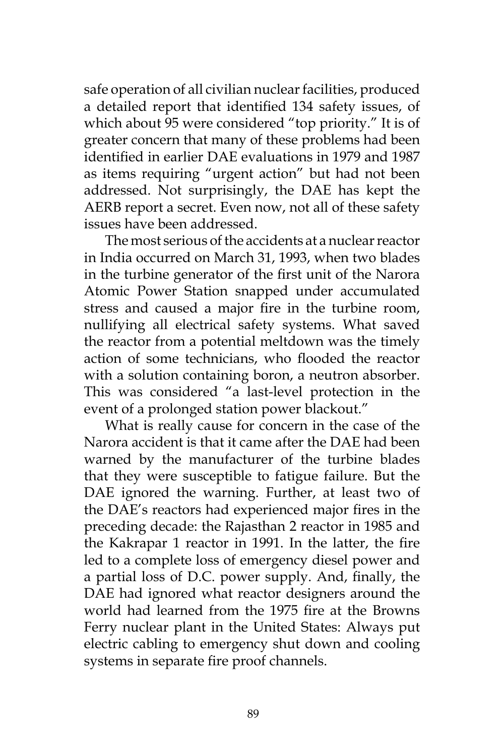safe operation of all civilian nuclear facilities, produced a detailed report that identified 134 safety issues, of which about 95 were considered "top priority." It is of greater concern that many of these problems had been identified in earlier DAE evaluations in 1979 and 1987 as items requiring "urgent action" but had not been addressed. Not surprisingly, the DAE has kept the AERB report a secret. Even now, not all of these safety issues have been addressed.

The most serious of the accidents at a nuclear reactor in India occurred on March 31, 1993, when two blades in the turbine generator of the first unit of the Narora Atomic Power Station snapped under accumulated stress and caused a major fire in the turbine room, nullifying all electrical safety systems. What saved the reactor from a potential meltdown was the timely action of some technicians, who flooded the reactor with a solution containing boron, a neutron absorber. This was considered "a last-level protection in the event of a prolonged station power blackout."

What is really cause for concern in the case of the Narora accident is that it came after the DAE had been warned by the manufacturer of the turbine blades that they were susceptible to fatigue failure. But the DAE ignored the warning. Further, at least two of the DAE's reactors had experienced major fires in the preceding decade: the Rajasthan 2 reactor in 1985 and the Kakrapar 1 reactor in 1991. In the latter, the fire led to a complete loss of emergency diesel power and a partial loss of D.C. power supply. And, finally, the DAE had ignored what reactor designers around the world had learned from the 1975 fire at the Browns Ferry nuclear plant in the United States: Always put electric cabling to emergency shut down and cooling systems in separate fire proof channels.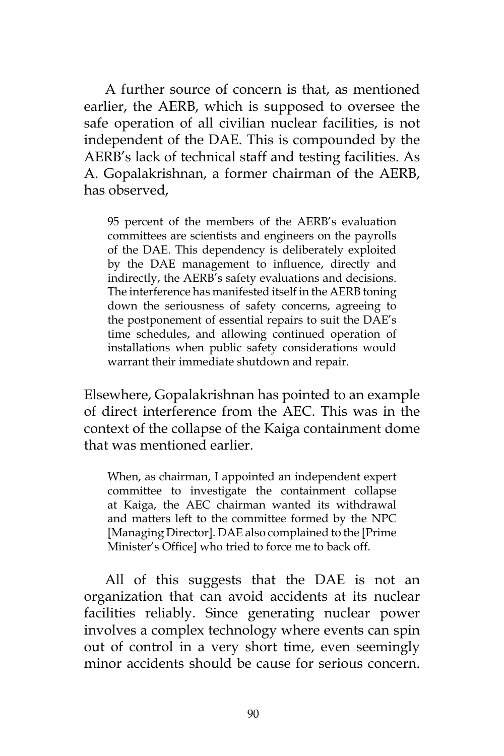A further source of concern is that, as mentioned earlier, the AERB, which is supposed to oversee the safe operation of all civilian nuclear facilities, is not independent of the DAE. This is compounded by the AERB's lack of technical staff and testing facilities. As A. Gopalakrishnan, a former chairman of the AERB, has observed,

95 percent of the members of the AERB's evaluation committees are scientists and engineers on the payrolls of the DAE. This dependency is deliberately exploited by the DAE management to influence, directly and indirectly, the AERB's safety evaluations and decisions. The interference has manifested itself in the AERB toning down the seriousness of safety concerns, agreeing to the postponement of essential repairs to suit the DAE's time schedules, and allowing continued operation of installations when public safety considerations would warrant their immediate shutdown and repair.

Elsewhere, Gopalakrishnan has pointed to an example of direct interference from the AEC. This was in the context of the collapse of the Kaiga containment dome that was mentioned earlier.

When, as chairman, I appointed an independent expert committee to investigate the containment collapse at Kaiga, the AEC chairman wanted its withdrawal and matters left to the committee formed by the NPC [Managing Director]. DAE also complained to the [Prime Minister's Office] who tried to force me to back off.

All of this suggests that the DAE is not an organization that can avoid accidents at its nuclear facilities reliably. Since generating nuclear power involves a complex technology where events can spin out of control in a very short time, even seemingly minor accidents should be cause for serious concern.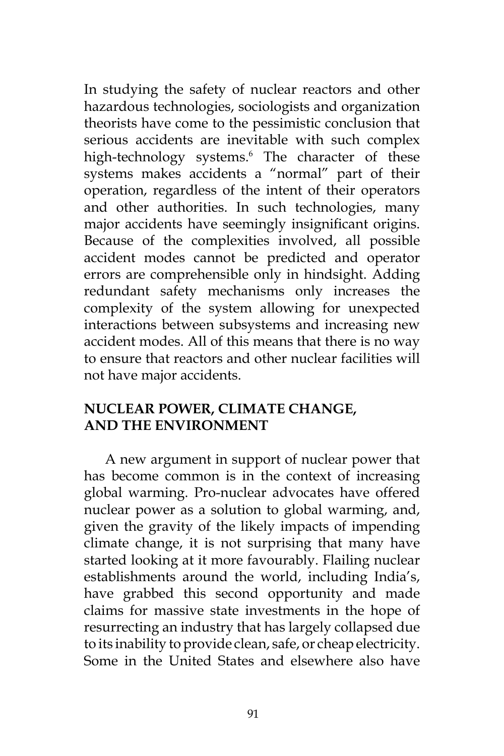In studying the safety of nuclear reactors and other hazardous technologies, sociologists and organization theorists have come to the pessimistic conclusion that serious accidents are inevitable with such complex high-technology systems.<sup>6</sup> The character of these systems makes accidents a "normal" part of their operation, regardless of the intent of their operators and other authorities. In such technologies, many major accidents have seemingly insignificant origins. Because of the complexities involved, all possible accident modes cannot be predicted and operator errors are comprehensible only in hindsight. Adding redundant safety mechanisms only increases the complexity of the system allowing for unexpected interactions between subsystems and increasing new accident modes. All of this means that there is no way to ensure that reactors and other nuclear facilities will not have major accidents.

## **NUCLEAR POWER, CLIMATE CHANGE, AND THE ENVIRONMENT**

A new argument in support of nuclear power that has become common is in the context of increasing global warming. Pro-nuclear advocates have offered nuclear power as a solution to global warming, and, given the gravity of the likely impacts of impending climate change, it is not surprising that many have started looking at it more favourably. Flailing nuclear establishments around the world, including India's, have grabbed this second opportunity and made claims for massive state investments in the hope of resurrecting an industry that has largely collapsed due to its inability to provide clean, safe, or cheap electricity. Some in the United States and elsewhere also have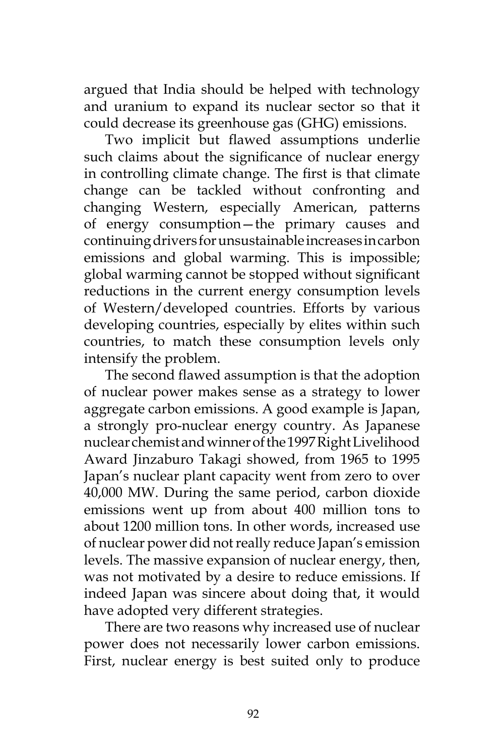argued that India should be helped with technology and uranium to expand its nuclear sector so that it could decrease its greenhouse gas (GHG) emissions.

Two implicit but flawed assumptions underlie such claims about the significance of nuclear energy in controlling climate change. The first is that climate change can be tackled without confronting and changing Western, especially American, patterns of energy consumption—the primary causes and continuing drivers for unsustainable increases in carbon emissions and global warming. This is impossible; global warming cannot be stopped without significant reductions in the current energy consumption levels of Western/developed countries. Efforts by various developing countries, especially by elites within such countries, to match these consumption levels only intensify the problem.

The second flawed assumption is that the adoption of nuclear power makes sense as a strategy to lower aggregate carbon emissions. A good example is Japan, a strongly pro-nuclear energy country. As Japanese nuclear chemist and winner of the 1997 Right Livelihood Award Jinzaburo Takagi showed, from 1965 to 1995 Japan's nuclear plant capacity went from zero to over 40,000 MW. During the same period, carbon dioxide emissions went up from about 400 million tons to about 1200 million tons. In other words, increased use of nuclear power did not really reduce Japan's emission levels. The massive expansion of nuclear energy, then, was not motivated by a desire to reduce emissions. If indeed Japan was sincere about doing that, it would have adopted very different strategies.

There are two reasons why increased use of nuclear power does not necessarily lower carbon emissions. First, nuclear energy is best suited only to produce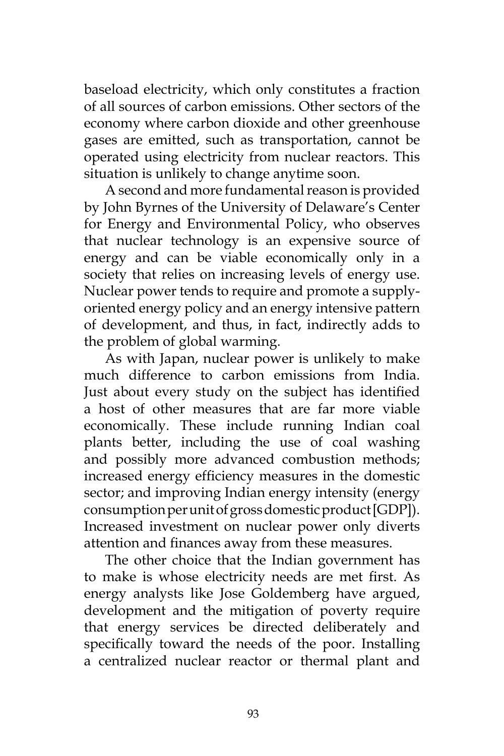baseload electricity, which only constitutes a fraction of all sources of carbon emissions. Other sectors of the economy where carbon dioxide and other greenhouse gases are emitted, such as transportation, cannot be operated using electricity from nuclear reactors. This situation is unlikely to change anytime soon.

A second and more fundamental reason is provided by John Byrnes of the University of Delaware's Center for Energy and Environmental Policy, who observes that nuclear technology is an expensive source of energy and can be viable economically only in a society that relies on increasing levels of energy use. Nuclear power tends to require and promote a supplyoriented energy policy and an energy intensive pattern of development, and thus, in fact, indirectly adds to the problem of global warming.

As with Japan, nuclear power is unlikely to make much difference to carbon emissions from India. Just about every study on the subject has identified a host of other measures that are far more viable economically. These include running Indian coal plants better, including the use of coal washing and possibly more advanced combustion methods; increased energy efficiency measures in the domestic sector; and improving Indian energy intensity (energy consumption per unit of gross domestic product [GDP]). Increased investment on nuclear power only diverts attention and finances away from these measures.

The other choice that the Indian government has to make is whose electricity needs are met first. As energy analysts like Jose Goldemberg have argued, development and the mitigation of poverty require that energy services be directed deliberately and specifically toward the needs of the poor. Installing a centralized nuclear reactor or thermal plant and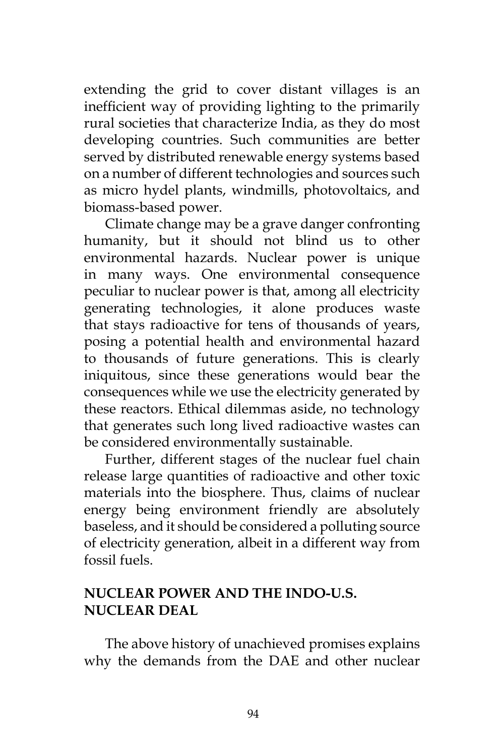extending the grid to cover distant villages is an inefficient way of providing lighting to the primarily rural societies that characterize India, as they do most developing countries. Such communities are better served by distributed renewable energy systems based on a number of different technologies and sources such as micro hydel plants, windmills, photovoltaics, and biomass-based power.

Climate change may be a grave danger confronting humanity, but it should not blind us to other environmental hazards. Nuclear power is unique in many ways. One environmental consequence peculiar to nuclear power is that, among all electricity generating technologies, it alone produces waste that stays radioactive for tens of thousands of years, posing a potential health and environmental hazard to thousands of future generations. This is clearly iniquitous, since these generations would bear the consequences while we use the electricity generated by these reactors. Ethical dilemmas aside, no technology that generates such long lived radioactive wastes can be considered environmentally sustainable.

Further, different stages of the nuclear fuel chain release large quantities of radioactive and other toxic materials into the biosphere. Thus, claims of nuclear energy being environment friendly are absolutely baseless, and it should be considered a polluting source of electricity generation, albeit in a different way from fossil fuels.

# **NUCLEAR POWER AND THE INDO-U.S. NUCLEAR DEAL**

The above history of unachieved promises explains why the demands from the DAE and other nuclear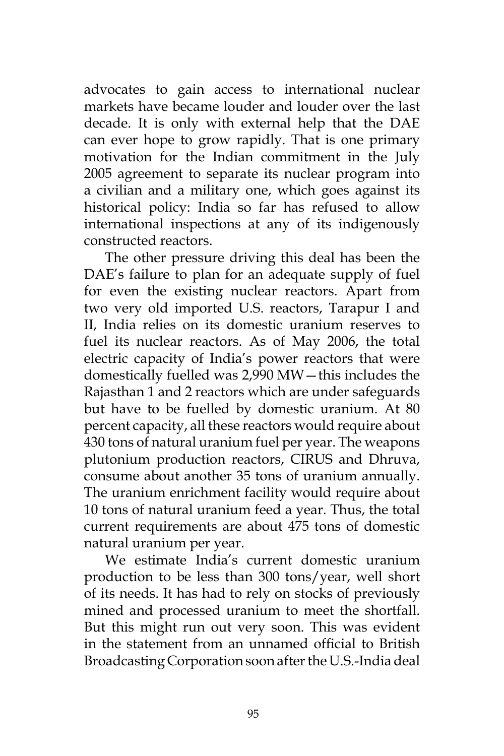advocates to gain access to international nuclear markets have became louder and louder over the last decade. It is only with external help that the DAE can ever hope to grow rapidly. That is one primary motivation for the Indian commitment in the July 2005 agreement to separate its nuclear program into a civilian and a military one, which goes against its historical policy: India so far has refused to allow international inspections at any of its indigenously constructed reactors.

The other pressure driving this deal has been the DAE's failure to plan for an adequate supply of fuel for even the existing nuclear reactors. Apart from two very old imported U.S. reactors, Tarapur I and II, India relies on its domestic uranium reserves to fuel its nuclear reactors. As of May 2006, the total electric capacity of India's power reactors that were domestically fuelled was 2,990 MW—this includes the Rajasthan 1 and 2 reactors which are under safeguards but have to be fuelled by domestic uranium. At 80 percent capacity, all these reactors would require about 430 tons of natural uranium fuel per year. The weapons plutonium production reactors, CIRUS and Dhruva, consume about another 35 tons of uranium annually. The uranium enrichment facility would require about 10 tons of natural uranium feed a year. Thus, the total current requirements are about 475 tons of domestic natural uranium per year.

We estimate India's current domestic uranium production to be less than 300 tons/year, well short of its needs. It has had to rely on stocks of previously mined and processed uranium to meet the shortfall. But this might run out very soon. This was evident in the statement from an unnamed official to British Broadcasting Corporation soon after the U.S.-India deal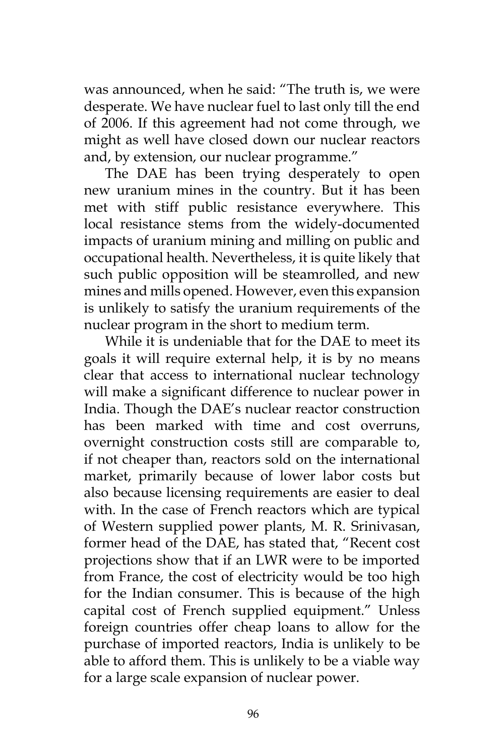was announced, when he said: "The truth is, we were desperate. We have nuclear fuel to last only till the end of 2006. If this agreement had not come through, we might as well have closed down our nuclear reactors and, by extension, our nuclear programme."

The DAE has been trying desperately to open new uranium mines in the country. But it has been met with stiff public resistance everywhere. This local resistance stems from the widely-documented impacts of uranium mining and milling on public and occupational health. Nevertheless, it is quite likely that such public opposition will be steamrolled, and new mines and mills opened. However, even this expansion is unlikely to satisfy the uranium requirements of the nuclear program in the short to medium term.

While it is undeniable that for the DAE to meet its goals it will require external help, it is by no means clear that access to international nuclear technology will make a significant difference to nuclear power in India. Though the DAE's nuclear reactor construction has been marked with time and cost overruns, overnight construction costs still are comparable to, if not cheaper than, reactors sold on the international market, primarily because of lower labor costs but also because licensing requirements are easier to deal with. In the case of French reactors which are typical of Western supplied power plants, M. R. Srinivasan, former head of the DAE, has stated that, "Recent cost projections show that if an LWR were to be imported from France, the cost of electricity would be too high for the Indian consumer. This is because of the high capital cost of French supplied equipment." Unless foreign countries offer cheap loans to allow for the purchase of imported reactors, India is unlikely to be able to afford them. This is unlikely to be a viable way for a large scale expansion of nuclear power.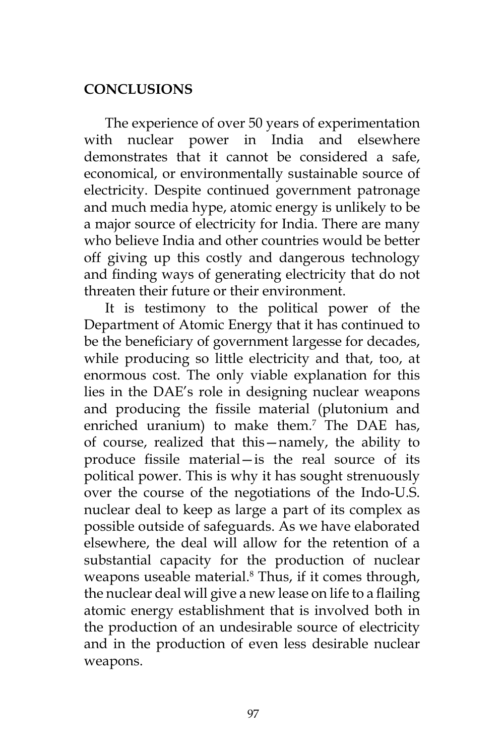# **CONCLUSIONS**

The experience of over 50 years of experimentation with nuclear power in India and elsewhere demonstrates that it cannot be considered a safe, economical, or environmentally sustainable source of electricity. Despite continued government patronage and much media hype, atomic energy is unlikely to be a major source of electricity for India. There are many who believe India and other countries would be better off giving up this costly and dangerous technology and finding ways of generating electricity that do not threaten their future or their environment.

It is testimony to the political power of the Department of Atomic Energy that it has continued to be the beneficiary of government largesse for decades, while producing so little electricity and that, too, at enormous cost. The only viable explanation for this lies in the DAE's role in designing nuclear weapons and producing the fissile material (plutonium and enriched uranium) to make them.<sup>7</sup> The DAE has, of course, realized that this—namely, the ability to produce fissile material—is the real source of its political power. This is why it has sought strenuously over the course of the negotiations of the Indo-U.S. nuclear deal to keep as large a part of its complex as possible outside of safeguards. As we have elaborated elsewhere, the deal will allow for the retention of a substantial capacity for the production of nuclear weapons useable material.<sup>8</sup> Thus, if it comes through, the nuclear deal will give a new lease on life to a flailing atomic energy establishment that is involved both in the production of an undesirable source of electricity and in the production of even less desirable nuclear weapons.